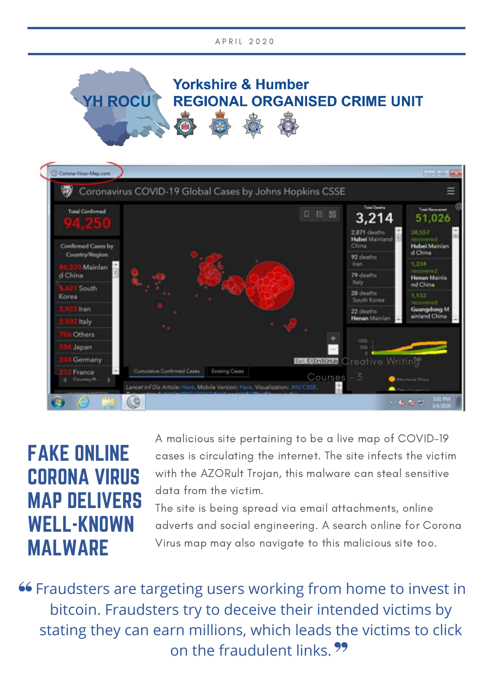



## FAKE ONLINE CORONA VIRUS MAP DELIVERS WELL-KNOWN MALWARE

A malicious site pertaining to be a live map of COVID-19 cases is circulating the internet. The site infects the victim with the AZORult Trojan, this malware can steal sensitive data from the victim.

The site is being spread via email attachments, online adverts and social engineering. A search online for Corona Virus map may also navigate to this malicious site too.

**66 Fraudsters are targeting users working from home to invest in** bitcoin. Fraudsters try to deceive their intended victims by stating they can earn millions, which leads the victims to click on the fraudulent links. ??